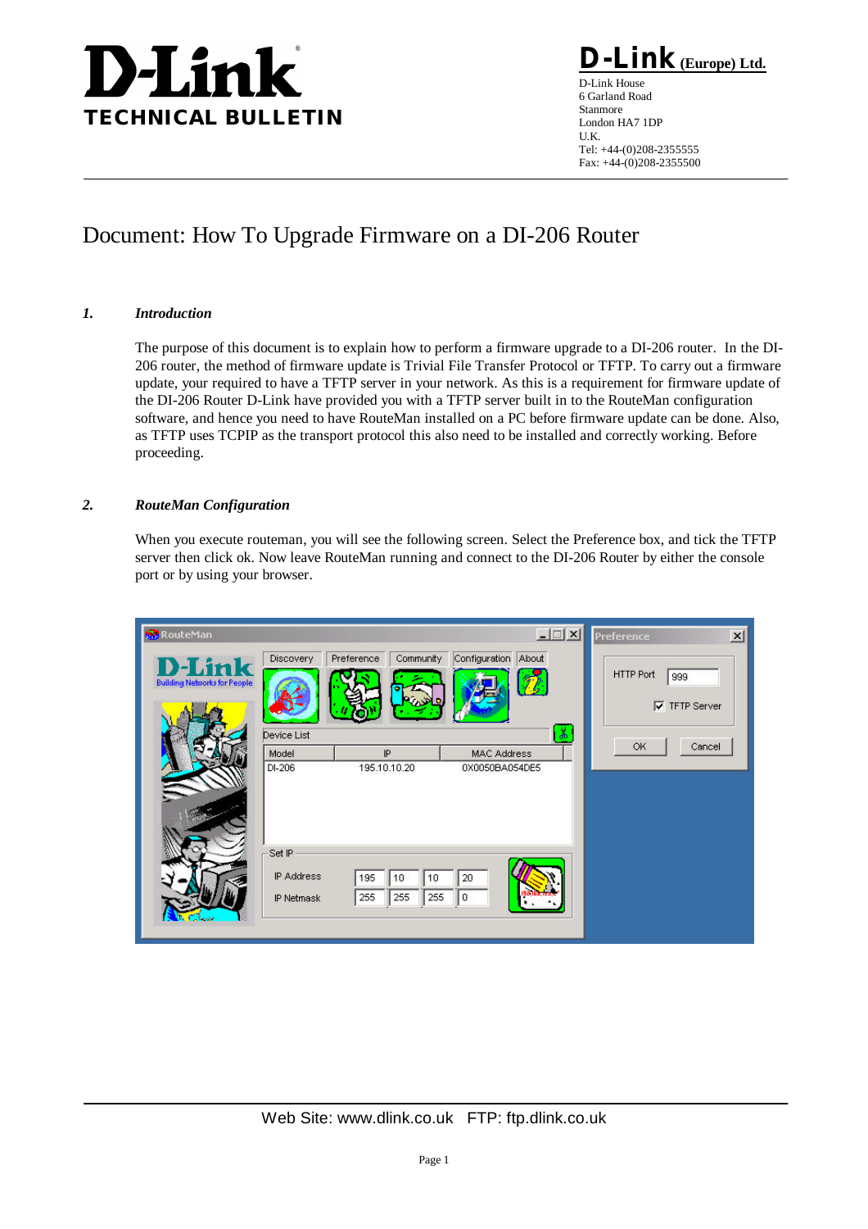# **D-Link TECHNICAL BULLETIN**

 $\mathbf{link}_{\mathbf{(Europe)} \underline{\mathbf{Ltd.}}}$ D-Link House

6 Garland Road Stanmore London HA7 1DP U.K. Tel: +44-(0)208-2355555 Fax: +44-(0)208-2355500

# Document: How To Upgrade Firmware on a DI-206 Router

### *1. Introduction*

The purpose of this document is to explain how to perform a firmware upgrade to a DI-206 router. In the DI-206 router, the method of firmware update is Trivial File Transfer Protocol or TFTP. To carry out a firmware update, your required to have a TFTP server in your network. As this is a requirement for firmware update of the DI-206 Router D-Link have provided you with a TFTP server built in to the RouteMan configuration software, and hence you need to have RouteMan installed on a PC before firmware update can be done. Also, as TFTP uses TCPIP as the transport protocol this also need to be installed and correctly working. Before proceeding.

## *2. RouteMan Configuration*

When you execute routeman, you will see the following screen. Select the Preference box, and tick the TFTP server then click ok. Now leave RouteMan running and connect to the DI-206 Router by either the console port or by using your browser.

| <b>RouteMan</b>                              |                                    |                                      | $  $ $ $ $\times$ $ $                            | $\mathbf{x}$<br>Preference                      |
|----------------------------------------------|------------------------------------|--------------------------------------|--------------------------------------------------|-------------------------------------------------|
| -Link<br><b>Building Networks for People</b> | Discovery                          | Community<br>Preference              | Configuration About                              | <b>HTTP Port</b><br>999<br><b>V</b> TFTP Server |
|                                              | Device List<br>Model<br>DI-206     | IP<br>195.10.10.20                   | $\delta$<br><b>MAC Address</b><br>0X0050BA054DE5 | OK<br>Cancel                                    |
|                                              | Set IP<br>IP Address<br>IP Netmask | 195<br>10<br>10<br>255<br>255<br>255 | 20<br>I٥                                         |                                                 |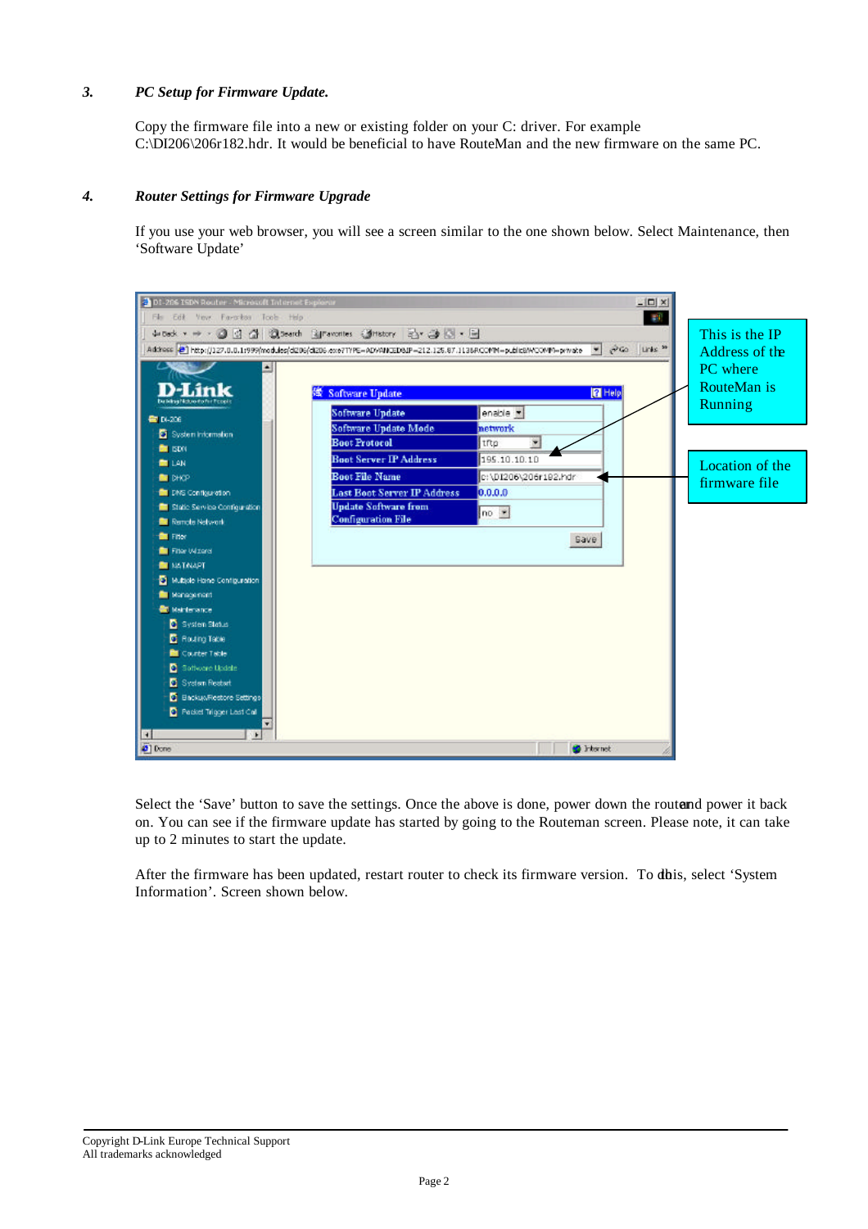### *3. PC Setup for Firmware Update.*

Copy the firmware file into a new or existing folder on your C: driver. For example C:\DI206\206r182.hdr. It would be beneficial to have RouteMan and the new firmware on the same PC.

#### *4. Router Settings for Firmware Upgrade*

If you use your web browser, you will see a screen similar to the one shown below. Select Maintenance, then 'Software Update'



Select the 'Save' button to save the settings. Once the above is done, power down the routend power it back on. You can see if the firmware update has started by going to the Routeman screen. Please note, it can take up to 2 minutes to start the update.

After the firmware has been updated, restart router to check its firmware version. To dhis, select 'System' Information'. Screen shown below.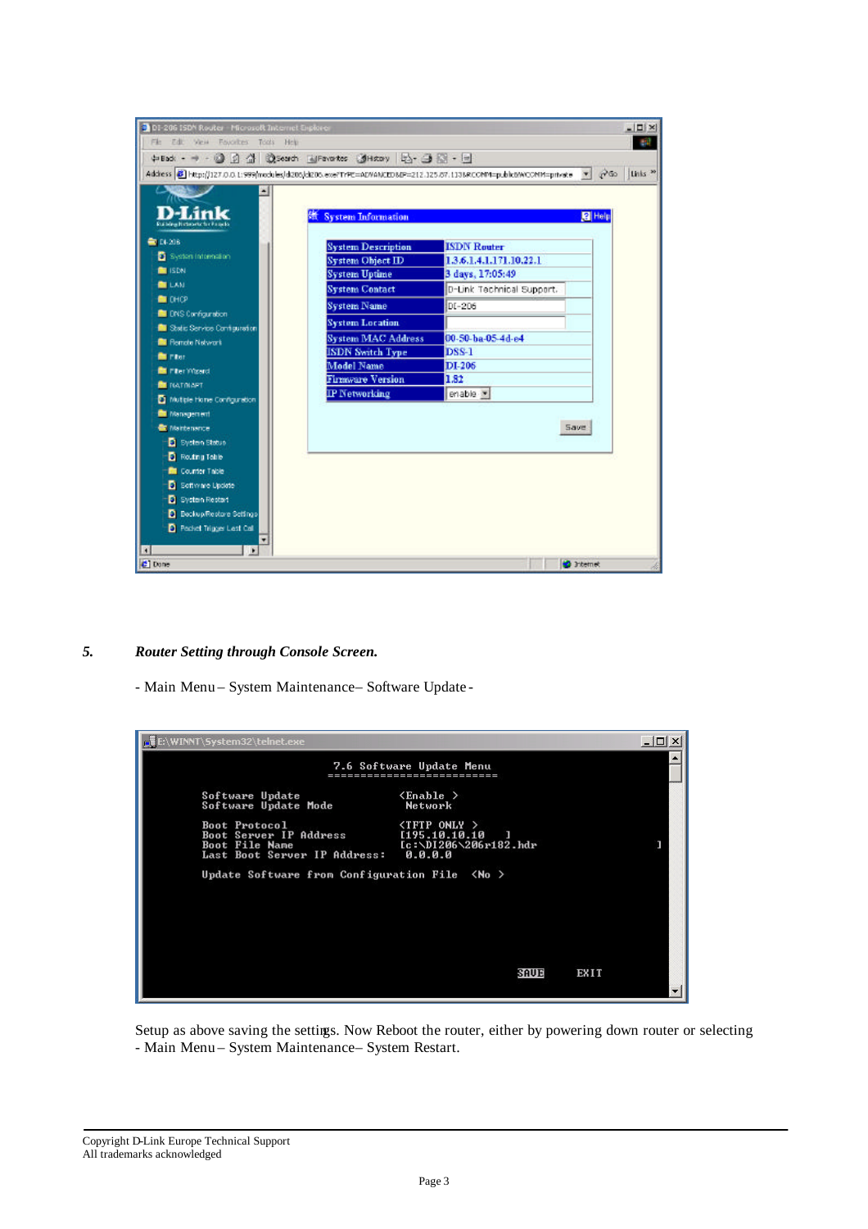| DI-206 ISDN Router - Microsoft Internet Englaser<br>File Edit View Favorites Tods Help                             |                           |                           | $ \Box$ $\times$    |
|--------------------------------------------------------------------------------------------------------------------|---------------------------|---------------------------|---------------------|
| 中Bad: - → - ③ 3 公 ②Search ElFavorites ③History [2] - ③ 図 - 三                                                       |                           |                           |                     |
| Address 2 http://127.0.0.1:999/modules/d206/d206.exe/TrPE=ADVANCEDMP=212.125.07.113MRCONM=public0WCONM=private > 2 |                           |                           | Links <sup>30</sup> |
|                                                                                                                    |                           |                           |                     |
|                                                                                                                    |                           |                           |                     |
|                                                                                                                    | <b>System Information</b> |                           | <b>P</b> Help       |
| <b>Rui Mine Nichronic f</b>                                                                                        |                           |                           |                     |
| <b>ED 14-208</b>                                                                                                   | <b>System Description</b> | <b>ISDN Router</b>        |                     |
| System Information                                                                                                 | <b>System Object ID</b>   | 1.3.6.1.4.1.171.10.22.1   |                     |
| <b>ERISON</b>                                                                                                      | <b>System Uptime</b>      | 3 days, 17:05:49          |                     |
| <b>EXAM</b>                                                                                                        | <b>System Contact</b>     | D-Link Technical Support. |                     |
| <b>CHOP</b>                                                                                                        | <b>System Name</b>        | DI-206                    |                     |
| <b>DI CNS Configuration</b>                                                                                        | <b>System Location</b>    |                           |                     |
| <b>BU</b> Static Service Configuration                                                                             | <b>System MAC Address</b> | 00-50-ba-05-4d-e4         |                     |
| <b>N</b> Remote Network                                                                                            | <b>ISDN Switch Type</b>   | <b>DSS-1</b>              |                     |
| <b>But mayor</b>                                                                                                   | <b>Model Name</b>         | DI-206                    |                     |
| <b>EX Piter Wizerd</b>                                                                                             | <b>Firmware Version</b>   | 1.82                      |                     |
| <b>BE NATINAPT</b>                                                                                                 | <b>IP Networking</b>      | enable .                  |                     |
| Muttel Hone Configuration<br><b>Nanagement</b>                                                                     |                           |                           |                     |
| <b><i>Maintenance</i></b>                                                                                          |                           |                           | Save.               |
| <b>D</b> System Status                                                                                             |                           |                           |                     |
| <b>D</b> Routing Toble                                                                                             |                           |                           |                     |
| <b>Di</b> Counter Table                                                                                            |                           |                           |                     |
| <b>D</b> Settimare Update                                                                                          |                           |                           |                     |
| <b>D</b> System Restart                                                                                            |                           |                           |                     |
| <b>D</b> Beckup/Restare Settings                                                                                   |                           |                           |                     |
| <b>D</b> Pocket Trigger Last Call                                                                                  |                           |                           |                     |
|                                                                                                                    |                           |                           |                     |
| $\left  \cdot \right $<br>i k                                                                                      |                           |                           |                     |
| C Done                                                                                                             |                           |                           | <b>D</b> Internet   |

#### *5. Router Setting through Console Screen.*

- Main Menu – System Maintenance – Software Update -



Setup as above saving the settings. Now Reboot the router, either by powering down router or selecting - Main Menu – System Maintenance – System Restart.